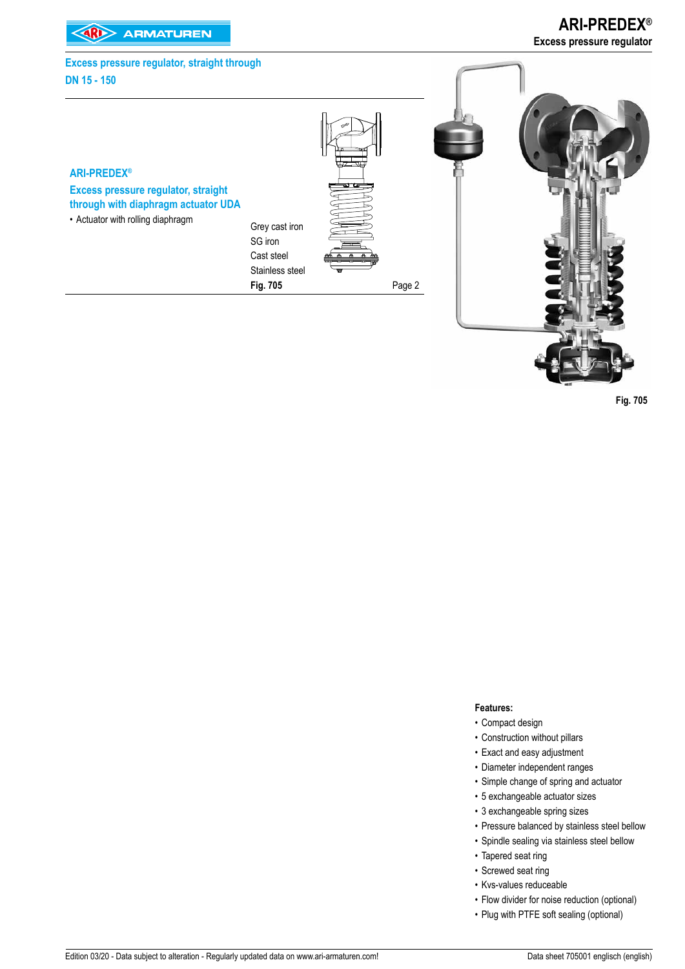**EXAMPLE ARMATUREN** 

**ARI-PREDEX® Excess pressure regulator**

# **ARI-PREDEX® Excess pressure regulator, straight through with diaphragm actuator UDA** • Actuator with rolling diaphragm Grey cast iron SG iron Cast steel Stainless steel **Fig. 705** Page 2 **Excess pressure regulator, straight through DN 15 - 150**

 **Fig. 705** 

#### **Features:**

- Compact design
- Construction without pillars
- Exact and easy adjustment
- Diameter independent ranges
- Simple change of spring and actuator
- 5 exchangeable actuator sizes
- 3 exchangeable spring sizes
- Pressure balanced by stainless steel bellow
- Spindle sealing via stainless steel bellow
- Tapered seat ring
- Screwed seat ring
- Kvs-values reduceable
- Flow divider for noise reduction (optional)
- Plug with PTFE soft sealing (optional)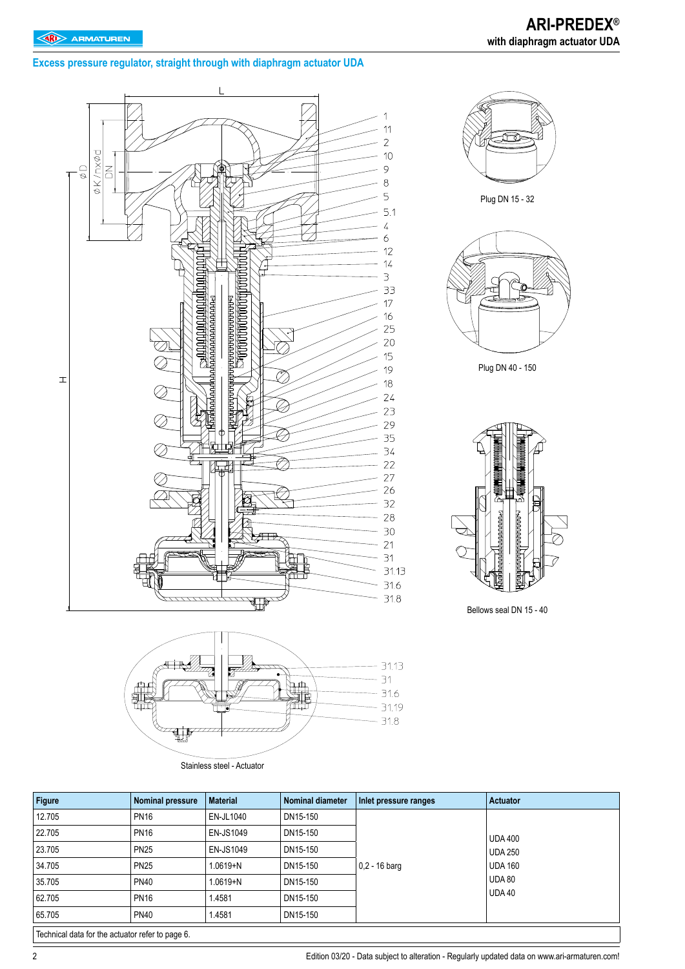# **Excess pressure regulator, straight through with diaphragm actuator UDA**





Stainless steel - Actuator

| DN15-150 |                 |                                 |  |
|----------|-----------------|---------------------------------|--|
| DN15-150 |                 | <b>UDA 400</b>                  |  |
| DN15-150 |                 | <b>UDA 250</b>                  |  |
| DN15-150 | $0,2 - 16$ barg | <b>UDA 160</b><br><b>UDA 80</b> |  |
| DN15-150 |                 |                                 |  |
| DN15-150 |                 | <b>UDA 40</b>                   |  |
| DN15-150 |                 |                                 |  |
|          |                 | Inlet pressure ranges           |  |

Technical data for the actuator refer to page 6.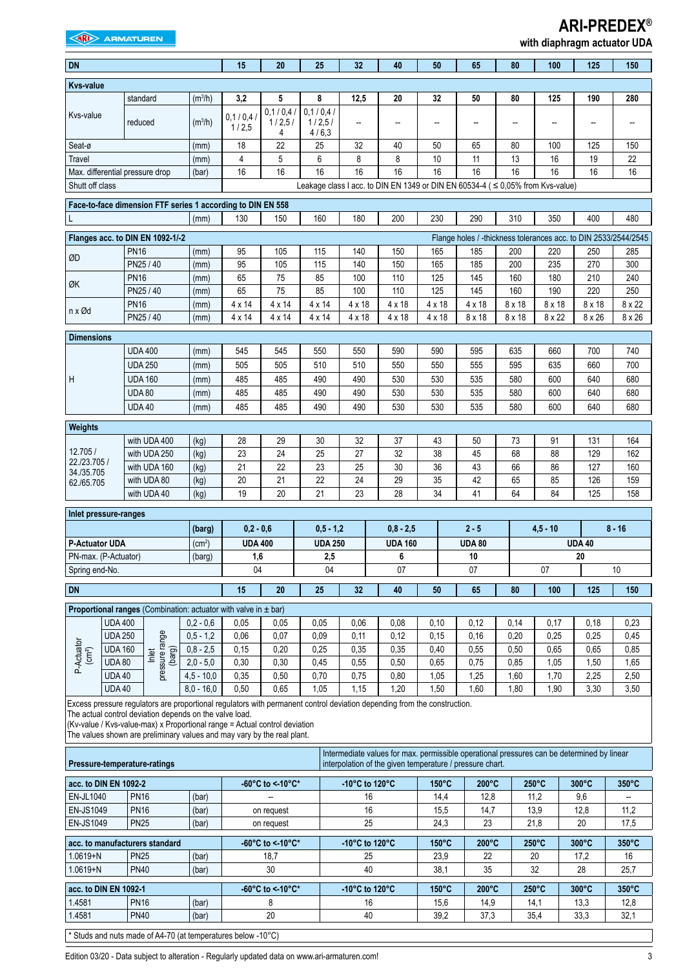## **EXAMPLE ARMATUREN**

# **ARI-PREDEX®**

|  | with diaphragm actuator UDA |  |  |
|--|-----------------------------|--|--|
|--|-----------------------------|--|--|

| <b>DN</b>                                                                                                                    |                |                                                                                                                                                                                     |                     | 15                  | 20                      | 25                          | 32             | 40                                                                                                                                                     | 50                       | 65                                                              | 80            | 100             | 125             | 150             |
|------------------------------------------------------------------------------------------------------------------------------|----------------|-------------------------------------------------------------------------------------------------------------------------------------------------------------------------------------|---------------------|---------------------|-------------------------|-----------------------------|----------------|--------------------------------------------------------------------------------------------------------------------------------------------------------|--------------------------|-----------------------------------------------------------------|---------------|-----------------|-----------------|-----------------|
| <b>Kvs-value</b>                                                                                                             |                |                                                                                                                                                                                     |                     |                     |                         |                             |                |                                                                                                                                                        |                          |                                                                 |               |                 |                 |                 |
|                                                                                                                              |                | standard                                                                                                                                                                            | (m <sup>3</sup> /h) | 3,2                 | 5                       | 8                           | 12,5           | 20                                                                                                                                                     | 32                       | 50                                                              | 80            | 125             | 190             | 280             |
| Kvs-value                                                                                                                    |                | reduced                                                                                                                                                                             | (m <sup>3</sup> /h) | 0,1/0,4/<br>1/2,5   | 0.1/0.4/<br>1/2,5/<br>4 | 0,1/0,4/<br>1/2,5/<br>4/6,3 | --             | $\overline{a}$                                                                                                                                         | $\overline{\phantom{a}}$ |                                                                 | --            |                 | --              |                 |
| Seat-ø                                                                                                                       |                |                                                                                                                                                                                     | (mm)                | 18                  | 22                      | 25                          | 32             | 40                                                                                                                                                     | 50                       | 65                                                              | 80            | 100             | 125             | 150             |
| Travel                                                                                                                       |                |                                                                                                                                                                                     | (mm)                | 4                   | 5                       | 6                           | 8              | 8                                                                                                                                                      | 10                       | 11                                                              | 13            | 16              | 19              | 22              |
|                                                                                                                              |                | Max. differential pressure drop                                                                                                                                                     | (bar)               | 16                  | 16                      | 16                          | 16             | 16                                                                                                                                                     | 16                       | 16                                                              | 16            | 16              | 16              | 16              |
| Shutt off class                                                                                                              |                |                                                                                                                                                                                     |                     |                     |                         |                             |                | Leakage class I acc. to DIN EN 1349 or DIN EN 60534-4 ( ≤ 0,05% from Kvs-value)                                                                        |                          |                                                                 |               |                 |                 |                 |
|                                                                                                                              |                | Face-to-face dimension FTF series 1 according to DIN EN 558                                                                                                                         |                     |                     |                         |                             |                |                                                                                                                                                        |                          |                                                                 |               |                 |                 |                 |
| L                                                                                                                            |                |                                                                                                                                                                                     | (mm)                | 130                 | 150                     | 160                         | 180            | 200                                                                                                                                                    | 230                      | 290                                                             | 310           | 350             | 400             | 480             |
|                                                                                                                              |                | Flanges acc. to DIN EN 1092-1/-2                                                                                                                                                    |                     |                     |                         |                             |                |                                                                                                                                                        |                          | Flange holes / -thickness tolerances acc. to DIN 2533/2544/2545 |               |                 |                 |                 |
| ØD                                                                                                                           |                | <b>PN16</b>                                                                                                                                                                         | (mm)                | 95                  | 105                     | 115                         | 140            | 150                                                                                                                                                    | 165                      | 185                                                             | 200           | 220             | 250             | 285             |
|                                                                                                                              |                | PN25 / 40                                                                                                                                                                           | (mm)                | 95                  | 105                     | 115                         | 140            | 150                                                                                                                                                    | 165                      | 185                                                             | 200           | 235             | 270             | 300             |
| ØK                                                                                                                           |                | <b>PN16</b>                                                                                                                                                                         | (mm)                | 65                  | 75                      | 85                          | 100            | 110                                                                                                                                                    | 125                      | 145                                                             | 160           | 180             | 210             | 240             |
|                                                                                                                              |                | PN25 / 40<br><b>PN16</b>                                                                                                                                                            | (mm)                | 65<br>$4 \times 14$ | 75<br>4 x 14            | 85<br>$4 \times 14$         | 100<br>4 x 18  | 110<br>$4 \times 18$                                                                                                                                   | 125<br>$4 \times 18$     | 145<br>$4 \times 18$                                            | 160<br>8 x 18 | 190<br>8 x 18   | 220<br>8 x 18   | 250<br>8 x 22   |
| n x Ød                                                                                                                       |                | PN25 / 40                                                                                                                                                                           | (mm)<br>(mm)        | $4 \times 14$       | 4 x 14                  | 4 x 14                      | 4 x 18         | $4 \times 18$                                                                                                                                          | $4 \times 18$            | 8 x 18                                                          | 8 x 18        | 8 x 22          | 8 x 26          | $8 \times 26$   |
|                                                                                                                              |                |                                                                                                                                                                                     |                     |                     |                         |                             |                |                                                                                                                                                        |                          |                                                                 |               |                 |                 |                 |
| <b>Dimensions</b>                                                                                                            |                | <b>UDA 400</b>                                                                                                                                                                      |                     |                     |                         |                             |                | 590                                                                                                                                                    | 590                      |                                                                 |               |                 |                 | 740             |
|                                                                                                                              |                | <b>UDA 250</b>                                                                                                                                                                      | (mm)<br>(mm)        | 545<br>505          | 545<br>505              | 550<br>510                  | 550<br>510     | 550                                                                                                                                                    | 550                      | 595<br>555                                                      | 635<br>595    | 660<br>635      | 700<br>660      | 700             |
| Η                                                                                                                            |                | <b>UDA 160</b>                                                                                                                                                                      | (mm)                | 485                 | 485                     | 490                         | 490            | 530                                                                                                                                                    | 530                      | 535                                                             | 580           | 600             | 640             | 680             |
|                                                                                                                              |                | <b>UDA 80</b>                                                                                                                                                                       | (mm)                | 485                 | 485                     | 490                         | 490            | 530                                                                                                                                                    | 530                      | 535                                                             | 580           | 600             | 640             | 680             |
|                                                                                                                              |                | <b>UDA 40</b>                                                                                                                                                                       | (mm)                | 485                 | 485                     | 490                         | 490            | 530                                                                                                                                                    | 530                      | 535                                                             | 580           | 600             | 640             | 680             |
|                                                                                                                              |                |                                                                                                                                                                                     |                     |                     |                         |                             |                |                                                                                                                                                        |                          |                                                                 |               |                 |                 |                 |
| Weights                                                                                                                      |                | with UDA 400                                                                                                                                                                        | (kg)                | 28                  | 29                      | 30                          | 32             | 37                                                                                                                                                     | 43                       | 50                                                              | 73            | 91              | 131             | 164             |
| 12.705 /                                                                                                                     |                | with UDA 250                                                                                                                                                                        | (kg)                | 23                  | 24                      | 25                          | 27             | 32                                                                                                                                                     | 38                       | 45                                                              | 68            | 88              | 129             | 162             |
| 22./23.705 /                                                                                                                 |                | with UDA 160                                                                                                                                                                        | (kg)                | 21                  | 22                      | 23                          | 25             | 30                                                                                                                                                     | 36                       | 43                                                              | 66            | 86              | 127             | 160             |
| 34./35.705<br>62./65.705                                                                                                     |                | with UDA 80                                                                                                                                                                         | (kg)                | 20                  | 21                      | 22                          | 24             | 29                                                                                                                                                     | 35                       | 42                                                              | 65            | 85              | 126             | 159             |
|                                                                                                                              |                | with UDA 40                                                                                                                                                                         | (kg)                | 19                  | 20                      | 21                          | 23             | 28                                                                                                                                                     | 34                       | 41                                                              | 64            | 84              | 125             | 158             |
| Inlet pressure-ranges                                                                                                        |                |                                                                                                                                                                                     |                     |                     |                         |                             |                |                                                                                                                                                        |                          |                                                                 |               |                 |                 |                 |
|                                                                                                                              |                |                                                                                                                                                                                     | (barg)              | $0,2 - 0,6$         |                         | $0.5 - 1.2$                 |                | $0,8 - 2,5$                                                                                                                                            |                          | $2 - 5$                                                         |               | $4.5 - 10$      |                 | $8 - 16$        |
| P-Actuator UDA                                                                                                               |                |                                                                                                                                                                                     | (cm <sup>2</sup> )  | <b>UDA 400</b>      |                         | <b>UDA 250</b>              |                | <b>UDA 160</b>                                                                                                                                         |                          | <b>UDA 80</b>                                                   |               |                 | <b>UDA 40</b>   |                 |
| PN-max. (P-Actuator)                                                                                                         |                |                                                                                                                                                                                     | (barg)              | 1,6                 |                         | 2,5                         |                | 6                                                                                                                                                      |                          | 10                                                              |               |                 | 20              |                 |
| Spring end-No.                                                                                                               |                |                                                                                                                                                                                     |                     | 04                  |                         | 04                          |                | $07\,$                                                                                                                                                 |                          | 07                                                              |               | $07\,$          |                 | 10              |
| <b>DN</b>                                                                                                                    |                |                                                                                                                                                                                     |                     | 15                  | 20                      | 25                          | 32             | 40                                                                                                                                                     | 50                       | 65                                                              | 80            | 100             | 125             | 150             |
|                                                                                                                              |                |                                                                                                                                                                                     |                     |                     |                         |                             |                |                                                                                                                                                        |                          |                                                                 |               |                 |                 |                 |
|                                                                                                                              | <b>UDA 400</b> | <b>Proportional ranges</b> (Combination: actuator with valve in $\pm$ bar)                                                                                                          | $0.2 - 0.6$         | 0,05                | 0,05                    | 0,05                        | 0,06           | 0,08                                                                                                                                                   | 0,10                     | 0,12                                                            | 0,14          | 0,17            | 0,18            | 0,23            |
|                                                                                                                              | <b>UDA 250</b> |                                                                                                                                                                                     | $0,5 - 1,2$         | 0,06                | 0,07                    | 0,09                        | 0,11           | 0,12                                                                                                                                                   | 0,15                     | 0,16                                                            | 0,20          | 0,25            | 0,25            | 0,45            |
| P-Actuator<br>(cm <sup>2</sup> )                                                                                             | <b>UDA 160</b> | pressure range                                                                                                                                                                      | $0,8 - 2,5$         | 0,15                | 0,20                    | 0,25                        | 0,35           | 0,35                                                                                                                                                   | 0,40                     | 0,55                                                            | 0,50          | 0,65            | 0,65            | 0,85            |
|                                                                                                                              | <b>UDA 80</b>  | (barg)<br>Inlet                                                                                                                                                                     | $2,0 - 5,0$         | 0,30                | 0,30                    | 0,45                        | 0,55           | 0,50                                                                                                                                                   | 0,65                     | 0,75                                                            | 0,85          | 1,05            | 1,50            | 1,65            |
|                                                                                                                              | <b>UDA 40</b>  |                                                                                                                                                                                     | $4,5 - 10,0$        | 0,35                | 0,50                    | 0,70                        | 0,75           | 0,80                                                                                                                                                   | 1,05                     | 1,25                                                            | 1,60          | 1,70            | 2,25            | 2,50            |
|                                                                                                                              | <b>UDA 40</b>  |                                                                                                                                                                                     | $8.0 - 16.0$        | 0,50                | 0,65                    | 1,05                        | 1,15           | 1,20                                                                                                                                                   | 1,50                     | 1,60                                                            | 1,80          | 1,90            | 3,30            | 3,50            |
|                                                                                                                              |                | Excess pressure regulators are proportional regulators with permanent control deviation depending from the construction.<br>The actual control deviation depends on the valve load. |                     |                     |                         |                             |                |                                                                                                                                                        |                          |                                                                 |               |                 |                 |                 |
|                                                                                                                              |                | (Kv-value / Kvs-value-max) x Proportional range = Actual control deviation                                                                                                          |                     |                     |                         |                             |                |                                                                                                                                                        |                          |                                                                 |               |                 |                 |                 |
|                                                                                                                              |                | The values shown are preliminary values and may vary by the real plant.                                                                                                             |                     |                     |                         |                             |                |                                                                                                                                                        |                          |                                                                 |               |                 |                 |                 |
|                                                                                                                              |                | Pressure-temperature-ratings                                                                                                                                                        |                     |                     |                         |                             |                | Intermediate values for max. permissible operational pressures can be determined by linear<br>interpolation of the given temperature / pressure chart. |                          |                                                                 |               |                 |                 |                 |
| acc. to DIN EN 1092-2                                                                                                        |                |                                                                                                                                                                                     |                     |                     | -60°C to < 10°C*        |                             | -10°C to 120°C |                                                                                                                                                        | 150°C                    | 200°C                                                           |               | $250^{\circ}$ C | $300^{\circ}$ C | $350^{\circ}$ C |
| EN-JL1040                                                                                                                    |                | <b>PN16</b>                                                                                                                                                                         | (bar)               |                     |                         |                             | 16             |                                                                                                                                                        | 14,4                     | 12,8                                                            |               | 11,2            | 9,6             |                 |
| EN-JS1049                                                                                                                    |                | <b>PN16</b>                                                                                                                                                                         | (bar)               |                     | on request              |                             | 16             |                                                                                                                                                        | 15,5                     | 14,7                                                            |               | 13,9            | 12,8            | 11,2            |
| EN-JS1049                                                                                                                    |                | <b>PN25</b>                                                                                                                                                                         | (bar)               |                     | on request              |                             | 25             |                                                                                                                                                        | 24,3                     | 23                                                              |               | 21,8            | 20              | 17,5            |
|                                                                                                                              |                | acc. to manufacturers standard                                                                                                                                                      |                     |                     | -60°C to < 10°C*        |                             | -10°C to 120°C |                                                                                                                                                        | 150°C                    | 200°C                                                           |               | $250^{\circ}$ C | $300^{\circ}$ C | 350°C           |
| 1.0619+N                                                                                                                     |                | <b>PN25</b>                                                                                                                                                                         | (bar)               |                     | 18,7                    |                             | 25             |                                                                                                                                                        | 23,9                     | 22                                                              |               | 20              | 17,2            | 16              |
| $1.0619 + N$                                                                                                                 |                | <b>PN40</b>                                                                                                                                                                         | (bar)               |                     | 30                      |                             | 40             |                                                                                                                                                        | 38,1                     | 35                                                              |               | 32              | 28              | 25,7            |
| -60°C to <-10°C*<br>-10°C to 120°C<br>150°C<br>200°C<br>$250^{\circ}$ C<br>350°C<br>acc. to DIN EN 1092-1<br>$300^{\circ}$ C |                |                                                                                                                                                                                     |                     |                     |                         |                             |                |                                                                                                                                                        |                          |                                                                 |               |                 |                 |                 |
|                                                                                                                              |                |                                                                                                                                                                                     |                     |                     |                         |                             |                |                                                                                                                                                        |                          |                                                                 |               |                 |                 |                 |
| 1.4581<br>1.4581                                                                                                             |                | <b>PN16</b><br><b>PN40</b>                                                                                                                                                          | (bar)               |                     | 8<br>20                 |                             | 16<br>40       |                                                                                                                                                        | 15,6<br>39,2             | 14,9<br>37,3                                                    |               | 14,1<br>35,4    | 13,3<br>33,3    | 12,8<br>32,1    |

\* Studs and nuts made of A4-70 (at temperatures below -10°C)

Edition 03/20 - Data subject to alteration - Regularly updated data on www.ari-armaturen.com!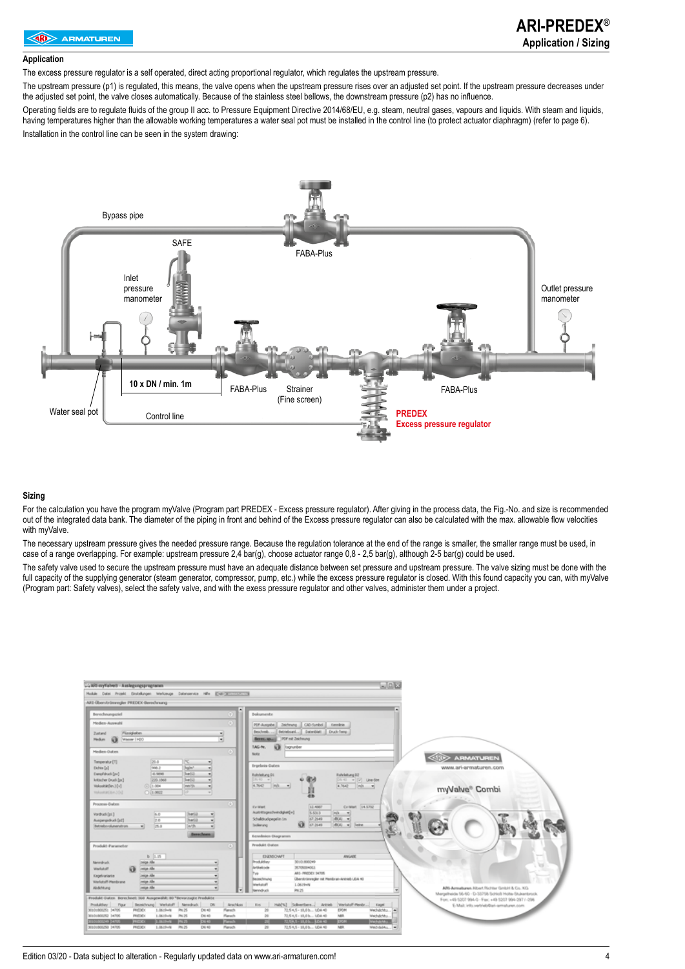#### **Application**

The excess pressure regulator is a self operated, direct acting proportional regulator, which regulates the upstream pressure.

The upstream pressure (p1) is regulated, this means, the valve opens when the upstream pressure rises over an adjusted set point. If the upstream pressure decreases under the adjusted set point, the valve closes automatically. Because of the stainless steel bellows, the downstream pressure (p2) has no influence.

Operating fields are to regulate fluids of the group II acc. to Pressure Equipment Directive 2014/68/EU, e.g. steam, neutral gases, vapours and liquids. With steam and liquids, having temperatures higher than the allowable working temperatures a water seal pot must be installed in the control line (to protect actuator diaphragm) (refer to page 6). Installation in the control line can be seen in the system drawing:



#### **Sizing**

For the calculation you have the program myValve (Program part PREDEX - Excess pressure regulator). After giving in the process data, the Fig.-No. and size is recommended out of the integrated data bank. The diameter of the piping in front and behind of the Excess pressure regulator can also be calculated with the max. allowable flow velocities with myValve.

The necessary upstream pressure gives the needed pressure range. Because the regulation tolerance at the end of the range is smaller, the smaller range must be used, in case of a range overlapping. For example: upstream pressure 2,4 bar(g), choose actuator range 0,8 - 2,5 bar(g), although 2-5 bar(g) could be used.

The safety valve used to secure the upstream pressure must have an adequate distance between set pressure and upstream pressure. The valve sizing must be done with the full capacity of the supplying generator (steam generator, compressor, pump, etc.) while the excess pressure regulator is closed. With this found capacity you can, with myValve (Program part: Safety valves), select the safety valve, and with the exess pressure regulator and other valves, administer them under a project.



Edition 03/20 - Data subject to alteration - Regularly updated data on www.ari-armaturen.com! 4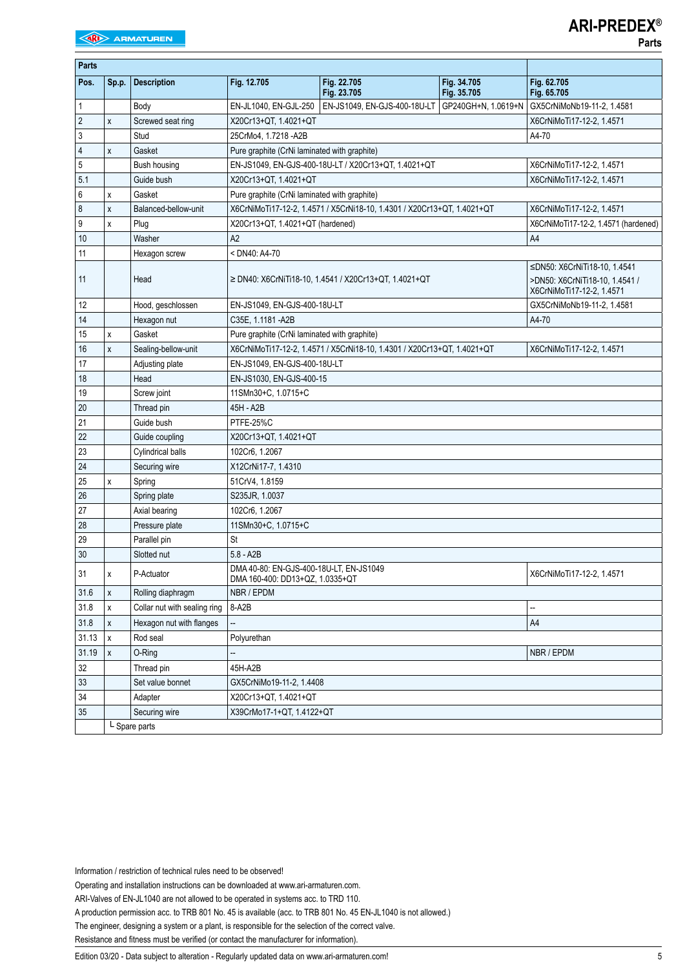| <b>Parts</b>   |               |                              |                                                                            |                                                                         |                            |                                                                                             |  |  |  |  |  |
|----------------|---------------|------------------------------|----------------------------------------------------------------------------|-------------------------------------------------------------------------|----------------------------|---------------------------------------------------------------------------------------------|--|--|--|--|--|
| Pos.           | Sp.p.         | <b>Description</b>           | Fig. 12.705                                                                | Fig. 22.705<br>Fig. 23.705                                              | Fig. 34.705<br>Fig. 35.705 | Fig. 62.705<br>Fig. 65.705                                                                  |  |  |  |  |  |
| 1              |               | Body                         | EN-JL1040, EN-GJL-250                                                      | EN-JS1049, EN-GJS-400-18U-LT                                            |                            | GP240GH+N, 1.0619+N   GX5CrNiMoNb19-11-2, 1.4581                                            |  |  |  |  |  |
| $\overline{2}$ | X             | Screwed seat ring            | X20Cr13+QT, 1.4021+QT                                                      | X6CrNiMoTi17-12-2, 1.4571                                               |                            |                                                                                             |  |  |  |  |  |
| 3              |               | Stud                         | 25CrMo4, 1.7218 - A2B                                                      |                                                                         |                            |                                                                                             |  |  |  |  |  |
| 4              | X             | Gasket                       | Pure graphite (CrNi laminated with graphite)                               |                                                                         |                            |                                                                                             |  |  |  |  |  |
| 5              |               | Bush housing                 |                                                                            | EN-JS1049, EN-GJS-400-18U-LT / X20Cr13+QT, 1.4021+QT                    |                            | X6CrNiMoTi17-12-2, 1.4571                                                                   |  |  |  |  |  |
| 5.1            |               | Guide bush                   | X20Cr13+QT, 1.4021+QT                                                      |                                                                         |                            | X6CrNiMoTi17-12-2. 1.4571                                                                   |  |  |  |  |  |
| 6              | X             | Gasket                       | Pure graphite (CrNi laminated with graphite)                               |                                                                         |                            |                                                                                             |  |  |  |  |  |
| 8              | X             | Balanced-bellow-unit         |                                                                            | X6CrNiMoTi17-12-2, 1.4571 / X5CrNi18-10, 1.4301 / X20Cr13+QT, 1.4021+QT |                            | X6CrNiMoTi17-12-2, 1.4571                                                                   |  |  |  |  |  |
| 9              | X             | Plug                         | X20Cr13+QT, 1.4021+QT (hardened)                                           |                                                                         |                            | X6CrNiMoTi17-12-2, 1.4571 (hardened)                                                        |  |  |  |  |  |
| 10             |               | Washer                       | A2                                                                         |                                                                         |                            | A4                                                                                          |  |  |  |  |  |
| 11             |               | Hexagon screw                | < DN40: A4-70                                                              |                                                                         |                            |                                                                                             |  |  |  |  |  |
| 11             |               | Head                         |                                                                            | $\ge$ DN40: X6CrNiTi18-10, 1.4541 / X20Cr13+QT, 1.4021+QT               |                            | ≤DN50: X6CrNiTi18-10, 1.4541<br>>DN50: X6CrNiTi18-10, 1.4541 /<br>X6CrNiMoTi17-12-2, 1.4571 |  |  |  |  |  |
| 12             |               | Hood, geschlossen            | EN-JS1049, EN-GJS-400-18U-LT                                               |                                                                         |                            | GX5CrNiMoNb19-11-2, 1.4581                                                                  |  |  |  |  |  |
| 14             |               | Hexagon nut                  | C35E. 1.1181 - A2B                                                         |                                                                         |                            | A4-70                                                                                       |  |  |  |  |  |
| 15             | X             | Gasket                       | Pure graphite (CrNi laminated with graphite)                               |                                                                         |                            |                                                                                             |  |  |  |  |  |
| 16             | X             | Sealing-bellow-unit          |                                                                            | X6CrNiMoTi17-12-2, 1.4571 / X5CrNi18-10, 1.4301 / X20Cr13+QT, 1.4021+QT |                            | X6CrNiMoTi17-12-2, 1.4571                                                                   |  |  |  |  |  |
| 17             |               | Adjusting plate              | EN-JS1049, EN-GJS-400-18U-LT                                               |                                                                         |                            |                                                                                             |  |  |  |  |  |
| 18             |               | Head                         | EN-JS1030, EN-GJS-400-15                                                   |                                                                         |                            |                                                                                             |  |  |  |  |  |
| 19             |               | Screw joint                  | 11SMn30+C, 1.0715+C                                                        |                                                                         |                            |                                                                                             |  |  |  |  |  |
| 20             |               | Thread pin                   | 45H - A2B                                                                  |                                                                         |                            |                                                                                             |  |  |  |  |  |
| 21             |               | Guide bush                   | PTFE-25%C                                                                  |                                                                         |                            |                                                                                             |  |  |  |  |  |
| 22             |               | Guide coupling               | X20Cr13+QT, 1.4021+QT                                                      |                                                                         |                            |                                                                                             |  |  |  |  |  |
| 23             |               | Cylindrical balls            | 102Cr6, 1.2067                                                             |                                                                         |                            |                                                                                             |  |  |  |  |  |
| 24             |               | Securing wire                | X12CrNi17-7, 1.4310                                                        |                                                                         |                            |                                                                                             |  |  |  |  |  |
| 25             | x             | Spring                       | 51CrV4, 1.8159                                                             |                                                                         |                            |                                                                                             |  |  |  |  |  |
| 26             |               | Spring plate                 | S235JR, 1.0037                                                             |                                                                         |                            |                                                                                             |  |  |  |  |  |
| 27             |               | Axial bearing                | 102Cr6, 1.2067                                                             |                                                                         |                            |                                                                                             |  |  |  |  |  |
| 28             |               | Pressure plate               | 11SMn30+C, 1.0715+C                                                        |                                                                         |                            |                                                                                             |  |  |  |  |  |
| 29             |               | Parallel pin                 | St                                                                         |                                                                         |                            |                                                                                             |  |  |  |  |  |
| 30             |               | Slotted nut                  | $5.8 - A2B$                                                                |                                                                         |                            |                                                                                             |  |  |  |  |  |
| 31             | x             | P-Actuator                   | DMA 40-80: EN-GJS-400-18U-LT, EN-JS1049<br>DMA 160-400: DD13+QZ, 1.0335+QT |                                                                         |                            | X6CrNiMoTi17-12-2, 1.4571                                                                   |  |  |  |  |  |
| 31.6           | X             | Rolling diaphragm            | NBR / EPDM                                                                 |                                                                         |                            |                                                                                             |  |  |  |  |  |
| 31.8           | x             | Collar nut with sealing ring | 8-A2B<br>$\overline{\phantom{a}}$                                          |                                                                         |                            |                                                                                             |  |  |  |  |  |
| 31.8           | X             | Hexagon nut with flanges     | --<br>A4                                                                   |                                                                         |                            |                                                                                             |  |  |  |  |  |
| 31.13          | X             | Rod seal                     | Polyurethan                                                                |                                                                         |                            |                                                                                             |  |  |  |  |  |
| 31.19          | $\pmb{\chi}$  | O-Ring                       |                                                                            |                                                                         |                            | NBR / EPDM                                                                                  |  |  |  |  |  |
| 32             |               | Thread pin                   | 45H-A2B                                                                    |                                                                         |                            |                                                                                             |  |  |  |  |  |
| 33             |               | Set value bonnet             | GX5CrNiMo19-11-2, 1.4408                                                   |                                                                         |                            |                                                                                             |  |  |  |  |  |
| 34             |               | Adapter                      | X20Cr13+QT, 1.4021+QT                                                      |                                                                         |                            |                                                                                             |  |  |  |  |  |
| 35             |               | Securing wire                | X39CrMo17-1+QT, 1.4122+QT                                                  |                                                                         |                            |                                                                                             |  |  |  |  |  |
|                | L Spare parts |                              |                                                                            |                                                                         |                            |                                                                                             |  |  |  |  |  |

Information / restriction of technical rules need to be observed!

Operating and installation instructions can be downloaded at www.ari-armaturen.com.

A production permission acc. to TRB 801 No. 45 is available (acc. to TRB 801 No. 45 EN-JL1040 is not allowed.)

The engineer, designing a system or a plant, is responsible for the selection of the correct valve.

Resistance and fitness must be verified (or contact the manufacturer for information).

Edition 03/20 - Data subject to alteration - Regularly updated data on www.ari-armaturen.com!<br>5

ARI-Valves of EN-JL1040 are not allowed to be operated in systems acc. to TRD 110.